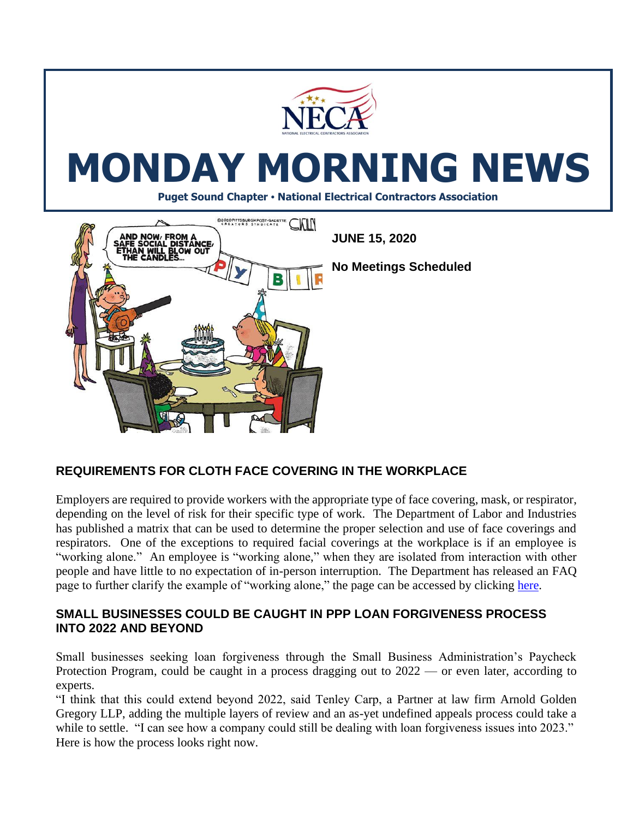

# **REQUIREMENTS FOR CLOTH FACE COVERING IN THE WORKPLACE**

Employers are required to provide workers with the appropriate type of face covering, mask, or respirator, depending on the level of risk for their specific type of work. The Department of Labor and Industries has published a matrix that can be used to determine the proper selection and use of face coverings and respirators. One of the exceptions to required facial coverings at the workplace is if an employee is "working alone." An employee is "working alone," when they are isolated from interaction with other people and have little to no expectation of in-person interruption. The Department has released an FAQ page to further clarify the example of "working alone," the page can be accessed by clicking [here.](https://www.lni.wa.gov/agency/outreach/coronavirus-covid-19-worker-face-covering-and-mask-requirements-questions)

#### **SMALL BUSINESSES COULD BE CAUGHT IN PPP LOAN FORGIVENESS PROCESS INTO 2022 AND BEYOND**

Small businesses seeking loan forgiveness through the Small Business Administration's Paycheck Protection Program, could be caught in a process dragging out to 2022 — or even later, according to experts.

"I think that this could extend beyond 2022, said Tenley Carp, a Partner at law firm Arnold Golden Gregory LLP, adding the multiple layers of review and an as-yet undefined appeals process could take a while to settle. "I can see how a company could still be dealing with loan forgiveness issues into 2023." Here is how the process looks right now.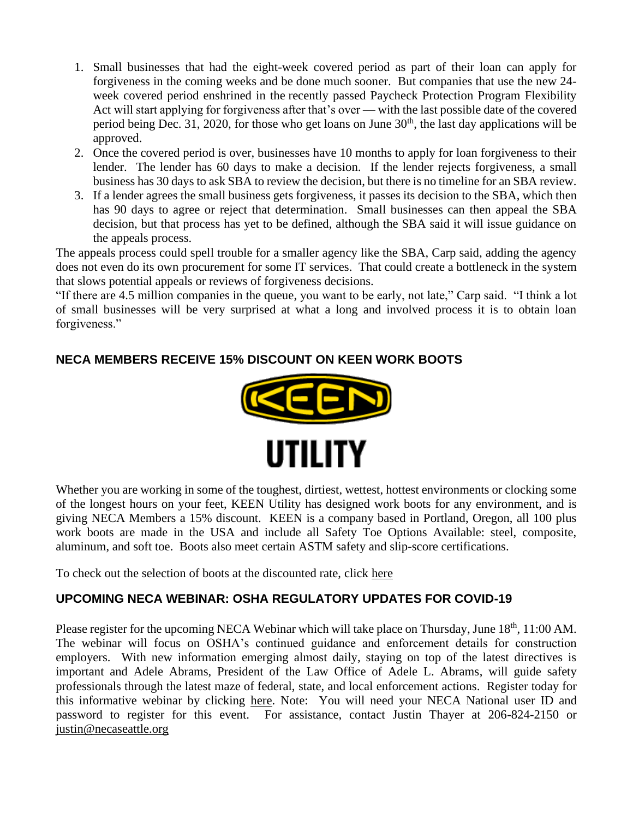- 1. Small businesses that had the eight-week covered period as part of their loan can apply for forgiveness in the coming weeks and be done much sooner. But companies that use the new 24 week covered period enshrined in the [recently passed Paycheck Protection Program Flexibility](https://www.bizjournals.com/washington/news/2020/06/05/trump-ppp-loan-changes-law-sba.html)  [Act](https://www.bizjournals.com/washington/news/2020/06/05/trump-ppp-loan-changes-law-sba.html) will start applying for forgiveness after that's over — with the last possible date of the covered period being Dec. 31, 2020, for those who get loans on June  $30<sup>th</sup>$ , the last day applications will be approved.
- 2. Once the covered period is over, businesses have 10 months to apply for loan forgiveness to their lender. The lender has 60 days to make a decision. If the lender rejects forgiveness, a small business has 30 days to ask SBA to review the decision, but there is no timeline for an SBA review.
- 3. If a lender agrees the small business gets forgiveness, it passes its decision to the SBA, which then has 90 days to agree or reject that determination. Small businesses can then appeal the SBA decision, but that process has yet to be defined, although the SBA said it will issue guidance on the appeals process.

The appeals process could spell trouble for a smaller agency like the SBA, Carp said, adding the agency does not even do its own procurement for some IT services. That could create a bottleneck in the system that slows potential appeals or reviews of forgiveness decisions.

"If there are 4.5 million companies in the queue, you want to be early, not late," Carp said. "I think a lot of small businesses will be very surprised at what a long and involved process it is to obtain loan forgiveness."

## **NECA MEMBERS RECEIVE 15% DISCOUNT ON KEEN WORK BOOTS**



Whether you are working in some of the toughest, dirtiest, wettest, hottest environments or clocking some of the longest hours on your feet, KEEN Utility has designed work boots for any environment, and is giving NECA Members a 15% discount. KEEN is a company based in Portland, Oregon, all 100 plus work boots are made in the USA and include all Safety Toe Options Available: steel, composite, aluminum, and soft toe. Boots also meet certain ASTM safety and slip-score certifications.

To check out the selection of boots at the discounted rate, click [here](https://www.keenfootwear.com/shop-all-work/?src=UtilityB2B_NECA_FW18)

#### **UPCOMING NECA WEBINAR: OSHA REGULATORY UPDATES FOR COVID-19**

Please register for the upcoming NECA Webinar which will take place on Thursday, June 18<sup>th</sup>, 11:00 AM. The webinar will focus on OSHA's continued guidance and enforcement details for construction employers. With new information emerging almost daily, staying on top of the latest directives is important and Adele Abrams, President of the Law Office of Adele L. Abrams, will guide safety professionals through the latest maze of federal, state, and local enforcement actions. Register today for this informative webinar by clicking [here.](https://www.necanet.org/about-us/calendar/education/course-calendar/2020/06/18/default-calendar/osha-regulatory-updates-for-covid-19-and-construction-webinar---thursday-june-18-2020--200-300-pm-et) Note: You will need your NECA National user ID and password to register for this event. For assistance, contact Justin Thayer at 206-824-2150 or [justin@necaseattle.org](mailto:justin@necaseattle.org)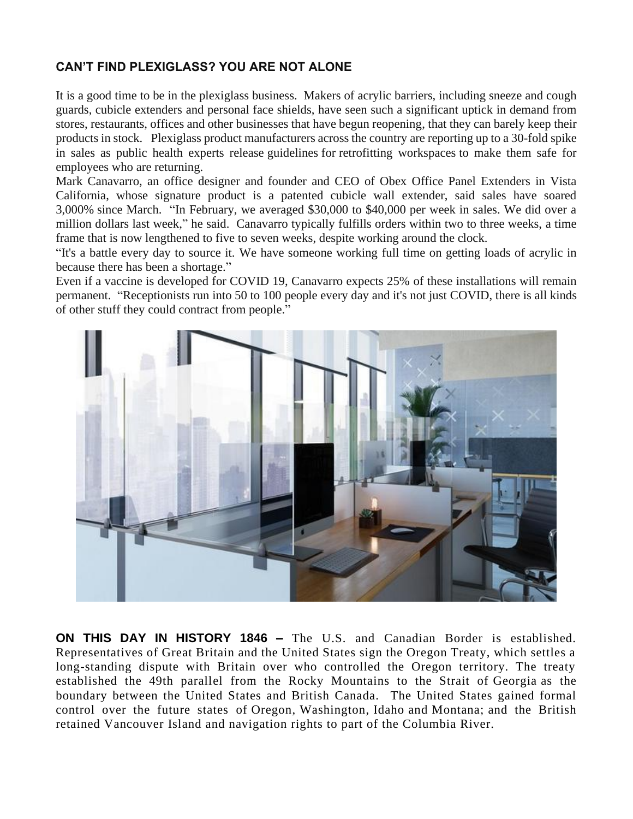## **CAN'T FIND PLEXIGLASS? YOU ARE NOT ALONE**

It is a good time to be in the plexiglass business. Makers of acrylic barriers, including sneeze and cough guards, cubicle extenders and personal face shields, have seen such a significant uptick in demand from stores, restaurants, offices and other businesses that have begun reopening, that they can barely keep their products in stock. Plexiglass product manufacturers across the country are reporting up to a 30-fold spike in sales as public health experts release [guidelines](https://www.cbsnews.com/news/cdc-guidance-reopen-office-buildings/) for [retrofitting workspaces](https://www.cbsnews.com/news/reopen-back-to-work-offices-different/) to make them safe for employees who are returning.

Mark Canavarro, an office designer and founder and CEO of Obex Office Panel Extenders in Vista California, whose signature product is a patented cubicle wall extender, said sales have soared 3,000% since March. "In February, we averaged \$30,000 to \$40,000 per week in sales. We did over a million dollars last week," he said. Canavarro typically fulfills orders within two to three weeks, a time frame that is now lengthened to five to seven weeks, despite working around the clock.

"It's a battle every day to source it. We have someone working full time on getting loads of acrylic in because there has been a shortage."

Even if a vaccine is developed for COVID 19, Canavarro expects 25% of these installations will remain permanent. "Receptionists run into 50 to 100 people every day and it's not just COVID, there is all kinds of other stuff they could contract from people."



**ON THIS DAY IN HISTORY 1846 –** The U.S. and Canadian Border is established. Representatives of Great Britain and the United States sign the Oregon Treaty, which settles a long-standing dispute with Britain over who controlled the Oregon territory. The treaty established the 49th parallel from the Rocky Mountains to the Strait of [Georgia](https://www.history.com/topics/us-states/georgia) as the boundary between the United States and British Canada. The United States gained formal control over the future states of [Oregon,](https://www.history.com/topics/us-states/oregon) [Washington,](https://www.history.com/topics/us-states/washington) [Idaho](https://www.history.com/topics/us-states/idaho) and [Montana;](https://www.history.com/topics/us-states/montana) and the British retained Vancouver Island and navigation rights to part of the Columbia River.